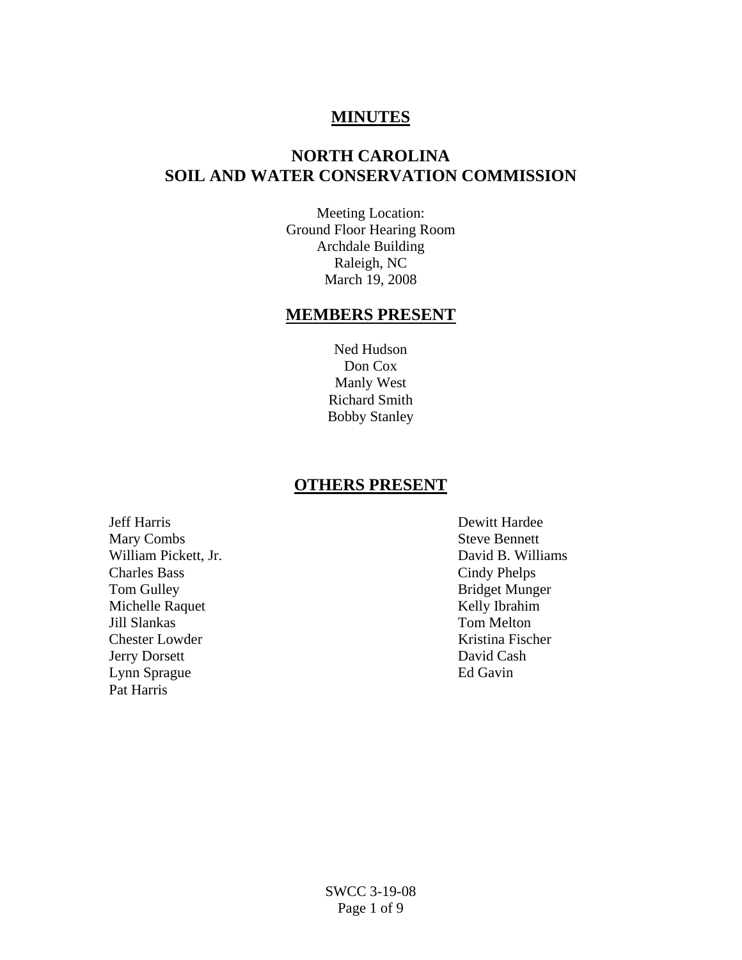# **MINUTES**

# **NORTH CAROLINA SOIL AND WATER CONSERVATION COMMISSION**

Meeting Location: Ground Floor Hearing Room Archdale Building Raleigh, NC March 19, 2008

# **MEMBERS PRESENT**

Ned Hudson Don Cox Manly West Richard Smith Bobby Stanley

#### **OTHERS PRESENT**

Jeff Harris Dewitt Hardee Mary Combs Steve Bennett William Pickett, Jr. **Example 2018** Solution Pickett, Jr. **David B. Williams** Charles Bass Cindy Phelps<br>
Tom Gulley Bridget Mung Michelle Raquet Kelly Ibrahim Jill Slankas Tom Melton Chester Lowder **Kristina Fischer** Jerry Dorsett David Cash Lynn Sprague Ed Gavin Pat Harris

Bridget Munger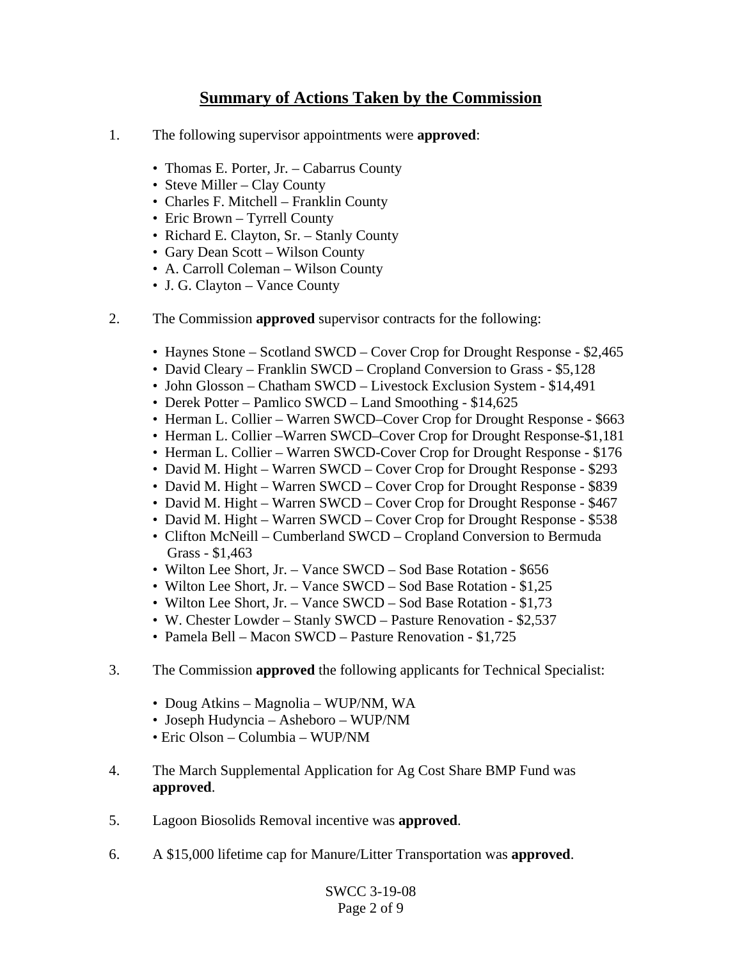# **Summary of Actions Taken by the Commission**

- 1. The following supervisor appointments were **approved**:
	- Thomas E. Porter, Jr. Cabarrus County
	- Steve Miller Clay County
	- Charles F. Mitchell Franklin County
	- Eric Brown Tyrrell County
	- Richard E. Clayton, Sr. Stanly County
	- Gary Dean Scott Wilson County
	- A. Carroll Coleman Wilson County
	- J. G. Clayton Vance County
- 2. The Commission **approved** supervisor contracts for the following:
	- Haynes Stone Scotland SWCD Cover Crop for Drought Response \$2,465
	- David Cleary Franklin SWCD Cropland Conversion to Grass \$5,128
	- John Glosson Chatham SWCD Livestock Exclusion System \$14,491
	- Derek Potter Pamlico SWCD Land Smoothing \$14,625
	- Herman L. Collier Warren SWCD–Cover Crop for Drought Response \$663
	- Herman L. Collier –Warren SWCD–Cover Crop for Drought Response-\$1,181
	- Herman L. Collier Warren SWCD-Cover Crop for Drought Response \$176
	- David M. Hight Warren SWCD Cover Crop for Drought Response \$293
	- David M. Hight Warren SWCD Cover Crop for Drought Response \$839
	- David M. Hight Warren SWCD Cover Crop for Drought Response \$467
	- David M. Hight Warren SWCD Cover Crop for Drought Response \$538
	- Clifton McNeill Cumberland SWCD Cropland Conversion to Bermuda Grass - \$1,463
	- Wilton Lee Short, Jr. Vance SWCD Sod Base Rotation \$656
	- Wilton Lee Short, Jr. Vance SWCD Sod Base Rotation \$1,25
	- Wilton Lee Short, Jr. Vance SWCD Sod Base Rotation \$1,73
	- W. Chester Lowder Stanly SWCD Pasture Renovation \$2,537
	- Pamela Bell Macon SWCD Pasture Renovation \$1,725
- 3. The Commission **approved** the following applicants for Technical Specialist:
	- Doug Atkins Magnolia WUP/NM, WA
	- Joseph Hudyncia Asheboro WUP/NM
	- Eric Olson Columbia WUP/NM
- 4. The March Supplemental Application for Ag Cost Share BMP Fund was **approved**.
- 5. Lagoon Biosolids Removal incentive was **approved**.
- 6. A \$15,000 lifetime cap for Manure/Litter Transportation was **approved**.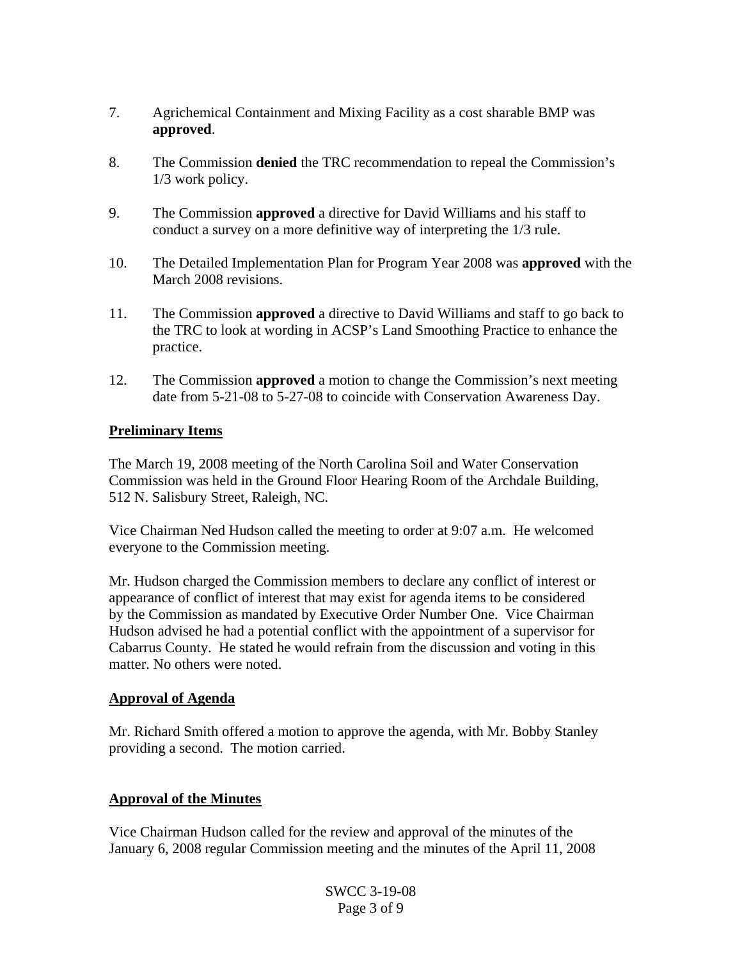- 7. Agrichemical Containment and Mixing Facility as a cost sharable BMP was **approved**.
- 8. The Commission **denied** the TRC recommendation to repeal the Commission's 1/3 work policy.
- 9. The Commission **approved** a directive for David Williams and his staff to conduct a survey on a more definitive way of interpreting the 1/3 rule.
- 10. The Detailed Implementation Plan for Program Year 2008 was **approved** with the March 2008 revisions.
- 11. The Commission **approved** a directive to David Williams and staff to go back to the TRC to look at wording in ACSP's Land Smoothing Practice to enhance the practice.
- 12. The Commission **approved** a motion to change the Commission's next meeting date from 5-21-08 to 5-27-08 to coincide with Conservation Awareness Day.

#### **Preliminary Items**

The March 19, 2008 meeting of the North Carolina Soil and Water Conservation Commission was held in the Ground Floor Hearing Room of the Archdale Building, 512 N. Salisbury Street, Raleigh, NC.

Vice Chairman Ned Hudson called the meeting to order at 9:07 a.m. He welcomed everyone to the Commission meeting.

Mr. Hudson charged the Commission members to declare any conflict of interest or appearance of conflict of interest that may exist for agenda items to be considered by the Commission as mandated by Executive Order Number One. Vice Chairman Hudson advised he had a potential conflict with the appointment of a supervisor for Cabarrus County. He stated he would refrain from the discussion and voting in this matter. No others were noted.

#### **Approval of Agenda**

Mr. Richard Smith offered a motion to approve the agenda, with Mr. Bobby Stanley providing a second. The motion carried.

#### **Approval of the Minutes**

Vice Chairman Hudson called for the review and approval of the minutes of the January 6, 2008 regular Commission meeting and the minutes of the April 11, 2008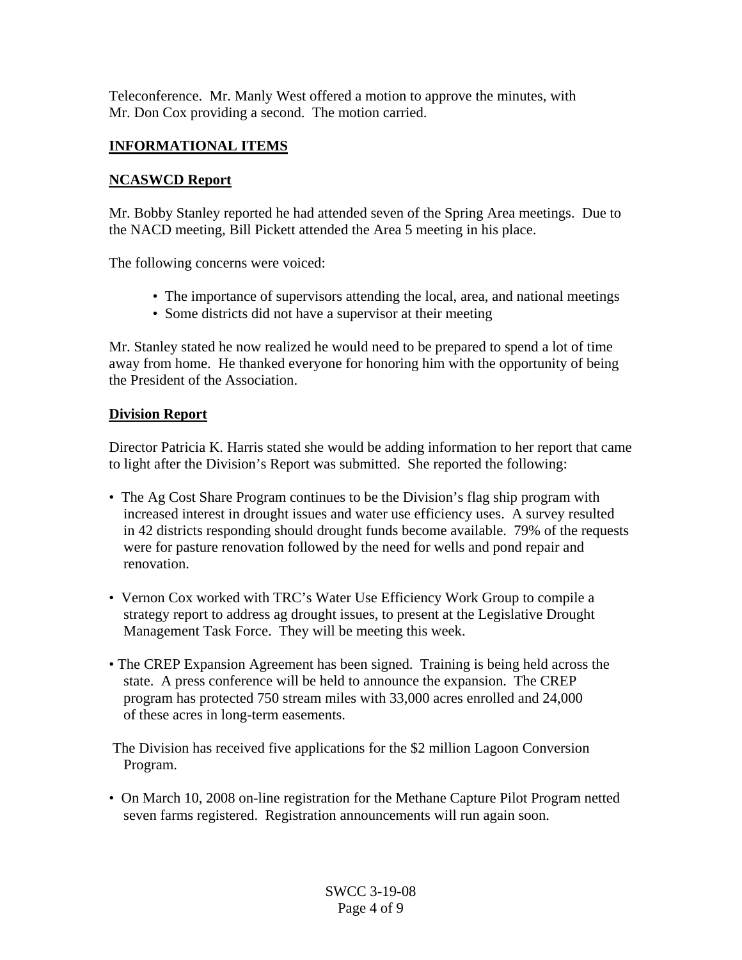Teleconference. Mr. Manly West offered a motion to approve the minutes, with Mr. Don Cox providing a second. The motion carried.

### **INFORMATIONAL ITEMS**

#### **NCASWCD Report**

Mr. Bobby Stanley reported he had attended seven of the Spring Area meetings. Due to the NACD meeting, Bill Pickett attended the Area 5 meeting in his place.

The following concerns were voiced:

- The importance of supervisors attending the local, area, and national meetings
- Some districts did not have a supervisor at their meeting

Mr. Stanley stated he now realized he would need to be prepared to spend a lot of time away from home. He thanked everyone for honoring him with the opportunity of being the President of the Association.

#### **Division Report**

Director Patricia K. Harris stated she would be adding information to her report that came to light after the Division's Report was submitted. She reported the following:

- The Ag Cost Share Program continues to be the Division's flag ship program with increased interest in drought issues and water use efficiency uses. A survey resulted in 42 districts responding should drought funds become available. 79% of the requests were for pasture renovation followed by the need for wells and pond repair and renovation.
- Vernon Cox worked with TRC's Water Use Efficiency Work Group to compile a strategy report to address ag drought issues, to present at the Legislative Drought Management Task Force. They will be meeting this week.
- The CREP Expansion Agreement has been signed. Training is being held across the state. A press conference will be held to announce the expansion. The CREP program has protected 750 stream miles with 33,000 acres enrolled and 24,000 of these acres in long-term easements.

 The Division has received five applications for the \$2 million Lagoon Conversion Program.

• On March 10, 2008 on-line registration for the Methane Capture Pilot Program netted seven farms registered. Registration announcements will run again soon.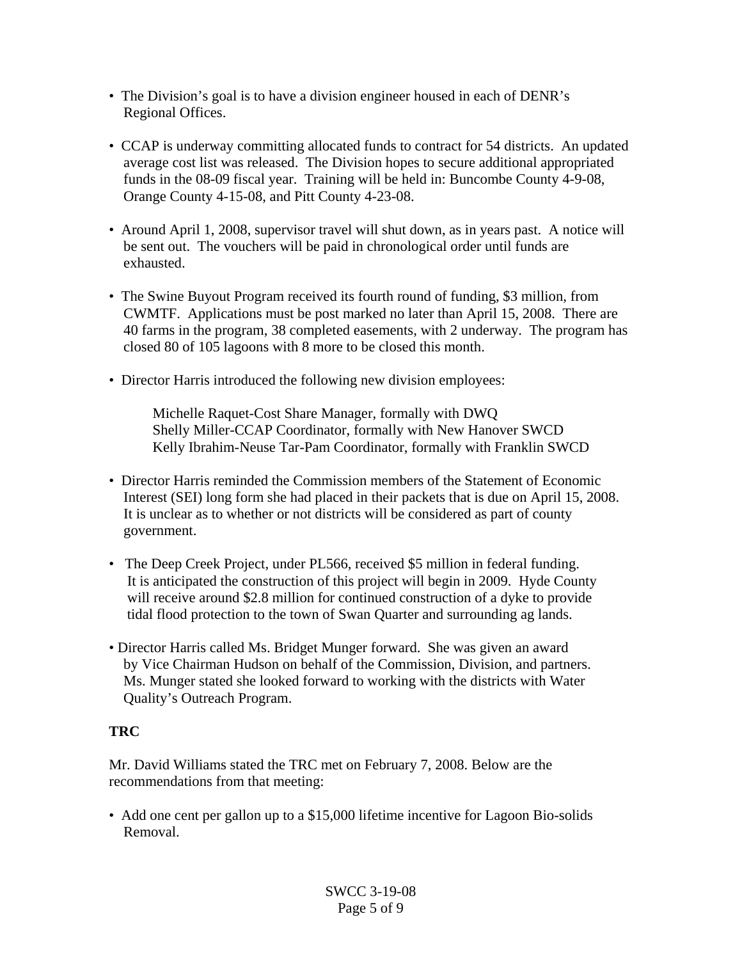- The Division's goal is to have a division engineer housed in each of DENR's Regional Offices.
- CCAP is underway committing allocated funds to contract for 54 districts. An updated average cost list was released. The Division hopes to secure additional appropriated funds in the 08-09 fiscal year. Training will be held in: Buncombe County 4-9-08, Orange County 4-15-08, and Pitt County 4-23-08.
- Around April 1, 2008, supervisor travel will shut down, as in years past. A notice will be sent out. The vouchers will be paid in chronological order until funds are exhausted.
- The Swine Buyout Program received its fourth round of funding, \$3 million, from CWMTF. Applications must be post marked no later than April 15, 2008. There are 40 farms in the program, 38 completed easements, with 2 underway. The program has closed 80 of 105 lagoons with 8 more to be closed this month.
- Director Harris introduced the following new division employees:

 Michelle Raquet-Cost Share Manager, formally with DWQ Shelly Miller-CCAP Coordinator, formally with New Hanover SWCD Kelly Ibrahim-Neuse Tar-Pam Coordinator, formally with Franklin SWCD

- Director Harris reminded the Commission members of the Statement of Economic Interest (SEI) long form she had placed in their packets that is due on April 15, 2008. It is unclear as to whether or not districts will be considered as part of county government.
- The Deep Creek Project, under PL566, received \$5 million in federal funding. It is anticipated the construction of this project will begin in 2009. Hyde County will receive around \$2.8 million for continued construction of a dyke to provide tidal flood protection to the town of Swan Quarter and surrounding ag lands.
- Director Harris called Ms. Bridget Munger forward. She was given an award by Vice Chairman Hudson on behalf of the Commission, Division, and partners. Ms. Munger stated she looked forward to working with the districts with Water Quality's Outreach Program.

### **TRC**

Mr. David Williams stated the TRC met on February 7, 2008. Below are the recommendations from that meeting:

• Add one cent per gallon up to a \$15,000 lifetime incentive for Lagoon Bio-solids Removal.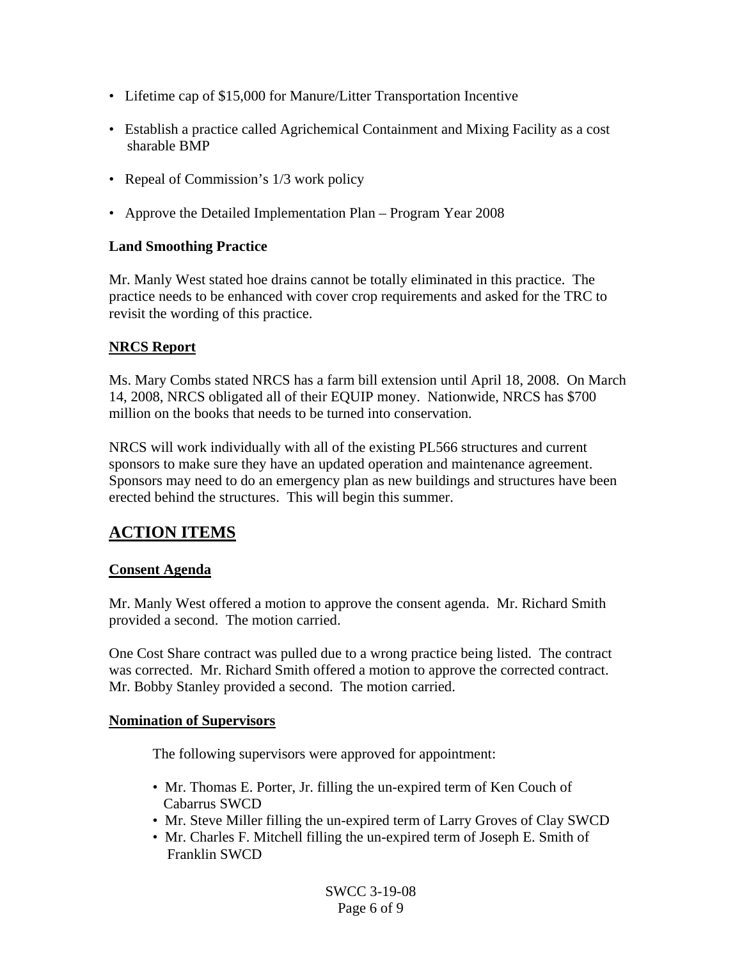- Lifetime cap of \$15,000 for Manure/Litter Transportation Incentive
- Establish a practice called Agrichemical Containment and Mixing Facility as a cost sharable BMP
- Repeal of Commission's 1/3 work policy
- Approve the Detailed Implementation Plan Program Year 2008

#### **Land Smoothing Practice**

Mr. Manly West stated hoe drains cannot be totally eliminated in this practice. The practice needs to be enhanced with cover crop requirements and asked for the TRC to revisit the wording of this practice.

#### **NRCS Report**

Ms. Mary Combs stated NRCS has a farm bill extension until April 18, 2008. On March 14, 2008, NRCS obligated all of their EQUIP money. Nationwide, NRCS has \$700 million on the books that needs to be turned into conservation.

NRCS will work individually with all of the existing PL566 structures and current sponsors to make sure they have an updated operation and maintenance agreement. Sponsors may need to do an emergency plan as new buildings and structures have been erected behind the structures. This will begin this summer.

# **ACTION ITEMS**

#### **Consent Agenda**

Mr. Manly West offered a motion to approve the consent agenda. Mr. Richard Smith provided a second. The motion carried.

One Cost Share contract was pulled due to a wrong practice being listed. The contract was corrected. Mr. Richard Smith offered a motion to approve the corrected contract. Mr. Bobby Stanley provided a second. The motion carried.

#### **Nomination of Supervisors**

The following supervisors were approved for appointment:

- Mr. Thomas E. Porter, Jr. filling the un-expired term of Ken Couch of Cabarrus SWCD
- Mr. Steve Miller filling the un-expired term of Larry Groves of Clay SWCD
- Mr. Charles F. Mitchell filling the un-expired term of Joseph E. Smith of Franklin SWCD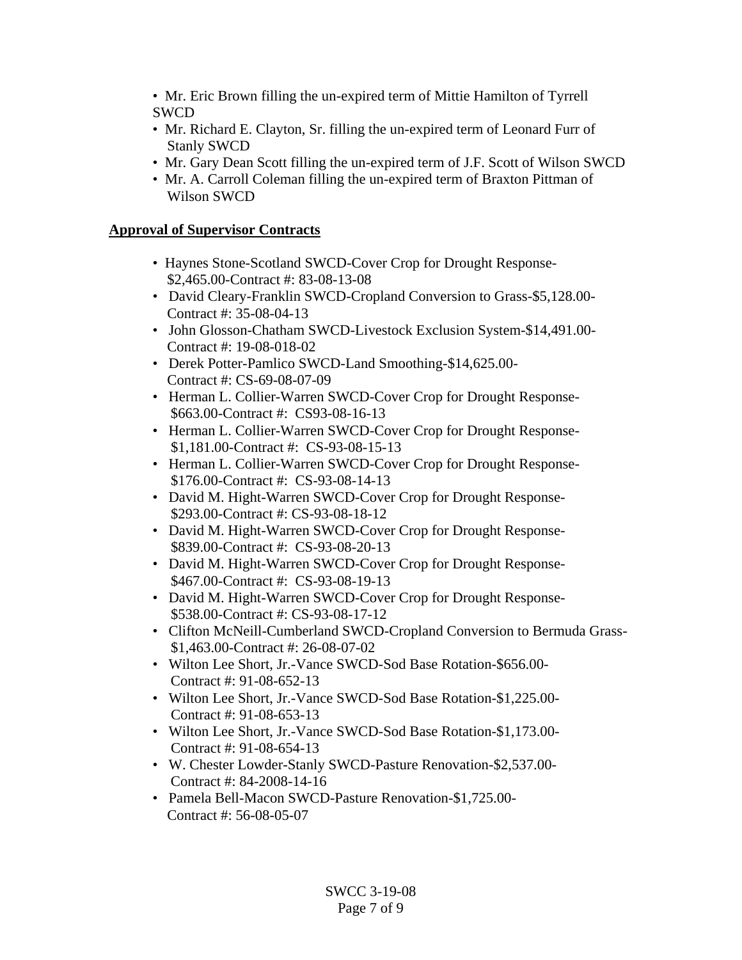• Mr. Eric Brown filling the un-expired term of Mittie Hamilton of Tyrrell SWCD

- Mr. Richard E. Clayton, Sr. filling the un-expired term of Leonard Furr of Stanly SWCD
- Mr. Gary Dean Scott filling the un-expired term of J.F. Scott of Wilson SWCD
- Mr. A. Carroll Coleman filling the un-expired term of Braxton Pittman of Wilson SWCD

# **Approval of Supervisor Contracts**

- Haynes Stone-Scotland SWCD-Cover Crop for Drought Response- \$2,465.00-Contract #: 83-08-13-08
- David Cleary-Franklin SWCD-Cropland Conversion to Grass-\$5,128.00- Contract #: 35-08-04-13
- John Glosson-Chatham SWCD-Livestock Exclusion System-\$14,491.00- Contract #: 19-08-018-02
- Derek Potter-Pamlico SWCD-Land Smoothing-\$14,625.00- Contract #: CS-69-08-07-09
- Herman L. Collier-Warren SWCD-Cover Crop for Drought Response- \$663.00-Contract #: CS93-08-16-13
- Herman L. Collier-Warren SWCD-Cover Crop for Drought Response- \$1,181.00-Contract #: CS-93-08-15-13
- Herman L. Collier-Warren SWCD-Cover Crop for Drought Response- \$176.00-Contract #: CS-93-08-14-13
- David M. Hight-Warren SWCD-Cover Crop for Drought Response- \$293.00-Contract #: CS-93-08-18-12
- David M. Hight-Warren SWCD-Cover Crop for Drought Response- \$839.00-Contract #: CS-93-08-20-13
- David M. Hight-Warren SWCD-Cover Crop for Drought Response- \$467.00-Contract #: CS-93-08-19-13
- David M. Hight-Warren SWCD-Cover Crop for Drought Response- \$538.00-Contract #: CS-93-08-17-12
- Clifton McNeill-Cumberland SWCD-Cropland Conversion to Bermuda Grass- \$1,463.00-Contract #: 26-08-07-02
- Wilton Lee Short, Jr.-Vance SWCD-Sod Base Rotation-\$656.00- Contract #: 91-08-652-13
- Wilton Lee Short, Jr.-Vance SWCD-Sod Base Rotation-\$1,225.00- Contract #: 91-08-653-13
- Wilton Lee Short, Jr.-Vance SWCD-Sod Base Rotation-\$1,173.00- Contract #: 91-08-654-13
- W. Chester Lowder-Stanly SWCD-Pasture Renovation-\$2,537.00- Contract #: 84-2008-14-16
- Pamela Bell-Macon SWCD-Pasture Renovation-\$1,725.00- Contract #: 56-08-05-07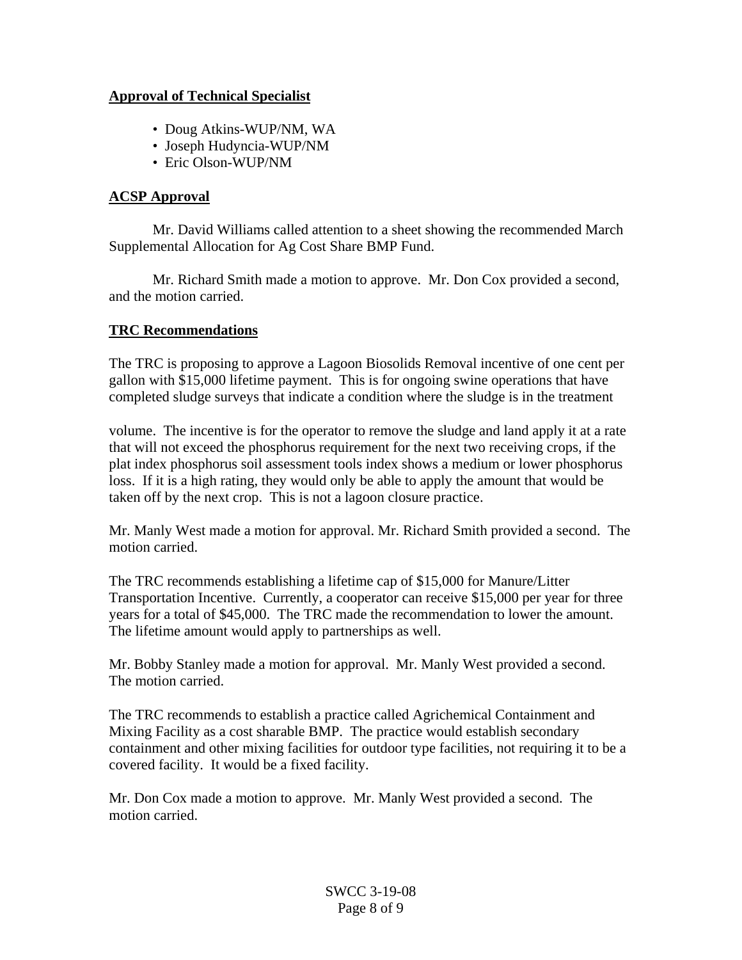#### **Approval of Technical Specialist**

- Doug Atkins-WUP/NM, WA
- Joseph Hudyncia-WUP/NM
- Eric Olson-WUP/NM

# **ACSP Approval**

 Mr. David Williams called attention to a sheet showing the recommended March Supplemental Allocation for Ag Cost Share BMP Fund.

 Mr. Richard Smith made a motion to approve. Mr. Don Cox provided a second, and the motion carried.

# **TRC Recommendations**

The TRC is proposing to approve a Lagoon Biosolids Removal incentive of one cent per gallon with \$15,000 lifetime payment. This is for ongoing swine operations that have completed sludge surveys that indicate a condition where the sludge is in the treatment

volume. The incentive is for the operator to remove the sludge and land apply it at a rate that will not exceed the phosphorus requirement for the next two receiving crops, if the plat index phosphorus soil assessment tools index shows a medium or lower phosphorus loss. If it is a high rating, they would only be able to apply the amount that would be taken off by the next crop. This is not a lagoon closure practice.

Mr. Manly West made a motion for approval. Mr. Richard Smith provided a second. The motion carried.

The TRC recommends establishing a lifetime cap of \$15,000 for Manure/Litter Transportation Incentive. Currently, a cooperator can receive \$15,000 per year for three years for a total of \$45,000. The TRC made the recommendation to lower the amount. The lifetime amount would apply to partnerships as well.

Mr. Bobby Stanley made a motion for approval. Mr. Manly West provided a second. The motion carried.

The TRC recommends to establish a practice called Agrichemical Containment and Mixing Facility as a cost sharable BMP. The practice would establish secondary containment and other mixing facilities for outdoor type facilities, not requiring it to be a covered facility. It would be a fixed facility.

Mr. Don Cox made a motion to approve. Mr. Manly West provided a second. The motion carried.